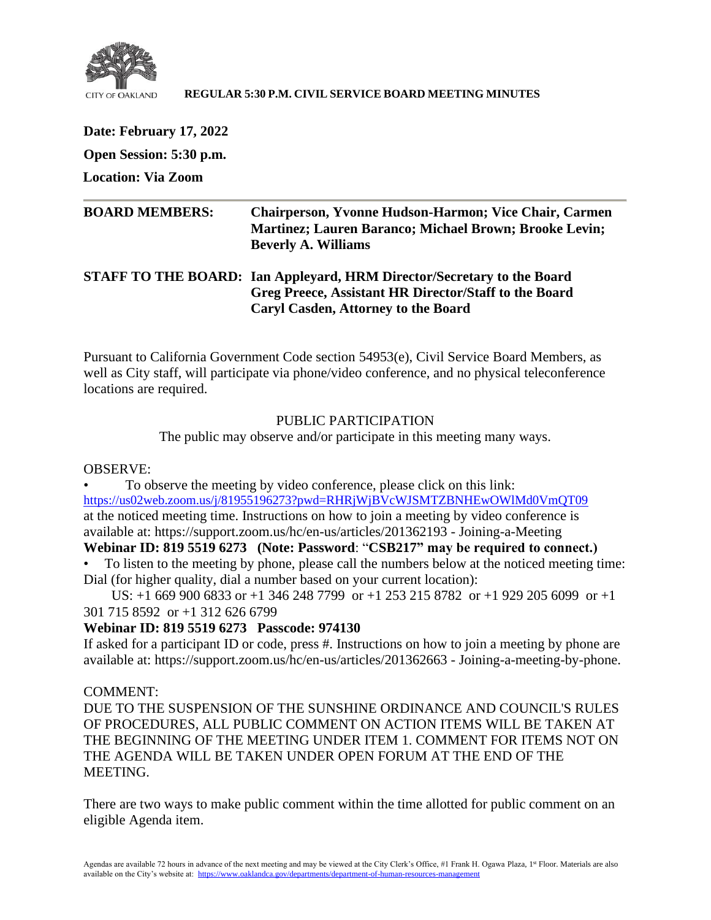

### **REGULAR 5:30 P.M. CIVIL SERVICE BOARD MEETING MINUTES**

**Date: February 17, 2022 Open Session: 5:30 p.m.**

**Location: Via Zoom**

| <b>BOARD MEMBERS:</b> | <b>Chairperson, Yvonne Hudson-Harmon; Vice Chair, Carmen</b><br><b>Martinez</b> ; Lauren Baranco; Michael Brown; Brooke Levin;<br><b>Beverly A. Williams</b> |
|-----------------------|--------------------------------------------------------------------------------------------------------------------------------------------------------------|
|                       | STAFF TO THE BOARD: Ian Appleyard, HRM Director/Secretary to the Board<br>Greg Preece, Assistant HR Director/Staff to the Board                              |

**Caryl Casden, Attorney to the Board**

Pursuant to California Government Code section 54953(e), Civil Service Board Members, as well as City staff, will participate via phone/video conference, and no physical teleconference locations are required.

# PUBLIC PARTICIPATION

The public may observe and/or participate in this meeting many ways.

OBSERVE:

• To observe the meeting by video conference, please click on this link: <https://us02web.zoom.us/j/81955196273?pwd=RHRjWjBVcWJSMTZBNHEwOWlMd0VmQT09> at the noticed meeting time. Instructions on how to join a meeting by video conference is available at: https://support.zoom.us/hc/en-us/articles/201362193 - Joining-a-Meeting

# **Webinar ID: 819 5519 6273 (Note: Password**: "**CSB217" may be required to connect.)**

• To listen to the meeting by phone, please call the numbers below at the noticed meeting time: Dial (for higher quality, dial a number based on your current location):

 US: +1 669 900 6833 or +1 346 248 7799 or +1 253 215 8782 or +1 929 205 6099 or +1 301 715 8592 or +1 312 626 6799

## **Webinar ID: 819 5519 6273 Passcode: 974130**

If asked for a participant ID or code, press #. Instructions on how to join a meeting by phone are available at: https://support.zoom.us/hc/en-us/articles/201362663 - Joining-a-meeting-by-phone.

## COMMENT:

DUE TO THE SUSPENSION OF THE SUNSHINE ORDINANCE AND COUNCIL'S RULES OF PROCEDURES, ALL PUBLIC COMMENT ON ACTION ITEMS WILL BE TAKEN AT THE BEGINNING OF THE MEETING UNDER ITEM 1. COMMENT FOR ITEMS NOT ON THE AGENDA WILL BE TAKEN UNDER OPEN FORUM AT THE END OF THE MEETING.

There are two ways to make public comment within the time allotted for public comment on an eligible Agenda item.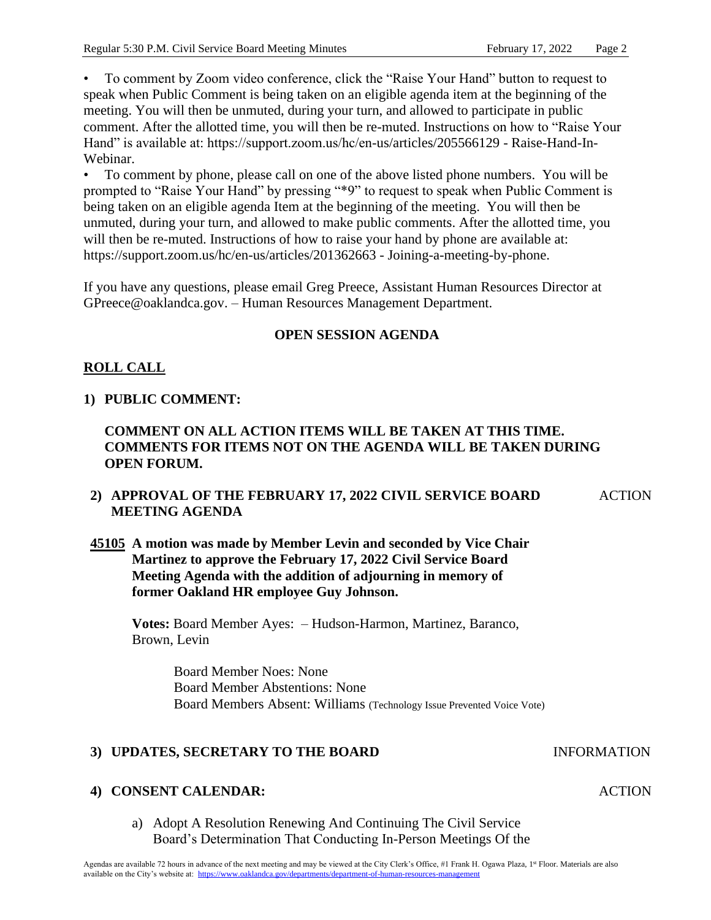• To comment by Zoom video conference, click the "Raise Your Hand" button to request to speak when Public Comment is being taken on an eligible agenda item at the beginning of the meeting. You will then be unmuted, during your turn, and allowed to participate in public comment. After the allotted time, you will then be re-muted. Instructions on how to "Raise Your Hand" is available at: https://support.zoom.us/hc/en-us/articles/205566129 - Raise-Hand-In-Webinar.

• To comment by phone, please call on one of the above listed phone numbers. You will be prompted to "Raise Your Hand" by pressing "\*9" to request to speak when Public Comment is being taken on an eligible agenda Item at the beginning of the meeting. You will then be unmuted, during your turn, and allowed to make public comments. After the allotted time, you will then be re-muted. Instructions of how to raise your hand by phone are available at: https://support.zoom.us/hc/en-us/articles/201362663 - Joining-a-meeting-by-phone.

If you have any questions, please email Greg Preece, Assistant Human Resources Director at GPreece@oaklandca.gov. – Human Resources Management Department.

## **OPEN SESSION AGENDA**

# **ROLL CALL**

## **1) PUBLIC COMMENT:**

# **COMMENT ON ALL ACTION ITEMS WILL BE TAKEN AT THIS TIME. COMMENTS FOR ITEMS NOT ON THE AGENDA WILL BE TAKEN DURING OPEN FORUM.**

#### **2) APPROVAL OF THE FEBRUARY 17, 2022 CIVIL SERVICE BOARD MEETING AGENDA** ACTION

# **45105 A motion was made by Member Levin and seconded by Vice Chair Martinez to approve the February 17, 2022 Civil Service Board Meeting Agenda with the addition of adjourning in memory of former Oakland HR employee Guy Johnson.**

**Votes:** Board Member Ayes: – Hudson-Harmon, Martinez, Baranco, Brown, Levin

> Board Member Noes: None Board Member Abstentions: None Board Members Absent: Williams (Technology Issue Prevented Voice Vote)

## **3) UPDATES, SECRETARY TO THE BOARD INFORMATION**

## **4) CONSENT CALENDAR:**

a) Adopt A Resolution Renewing And Continuing The Civil Service Board's Determination That Conducting In-Person Meetings Of the

### **ACTION**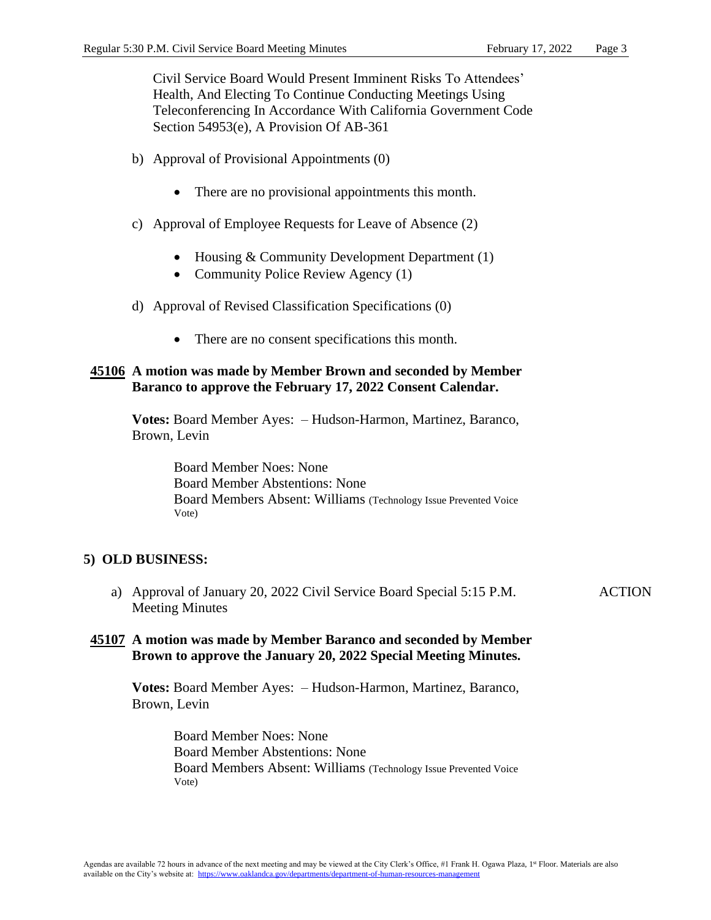Civil Service Board Would Present Imminent Risks To Attendees' Health, And Electing To Continue Conducting Meetings Using Teleconferencing In Accordance With California Government Code Section 54953(e), A Provision Of AB-361

- b) Approval of Provisional Appointments (0)
	- There are no provisional appointments this month.
- c) Approval of Employee Requests for Leave of Absence (2)
	- Housing & Community Development Department (1)
	- Community Police Review Agency (1)
- d) Approval of Revised Classification Specifications (0)
	- There are no consent specifications this month.

### **45106 A motion was made by Member Brown and seconded by Member Baranco to approve the February 17, 2022 Consent Calendar.**

**Votes:** Board Member Ayes: – Hudson-Harmon, Martinez, Baranco, Brown, Levin

> Board Member Noes: None Board Member Abstentions: None Board Members Absent: Williams (Technology Issue Prevented Voice Vote)

## **5) OLD BUSINESS:**

a) Approval of January 20, 2022 Civil Service Board Special 5:15 P.M. Meeting Minutes

### ACTION

## **45107 A motion was made by Member Baranco and seconded by Member Brown to approve the January 20, 2022 Special Meeting Minutes.**

**Votes:** Board Member Ayes: – Hudson-Harmon, Martinez, Baranco, Brown, Levin

> Board Member Noes: None Board Member Abstentions: None Board Members Absent: Williams (Technology Issue Prevented Voice Vote)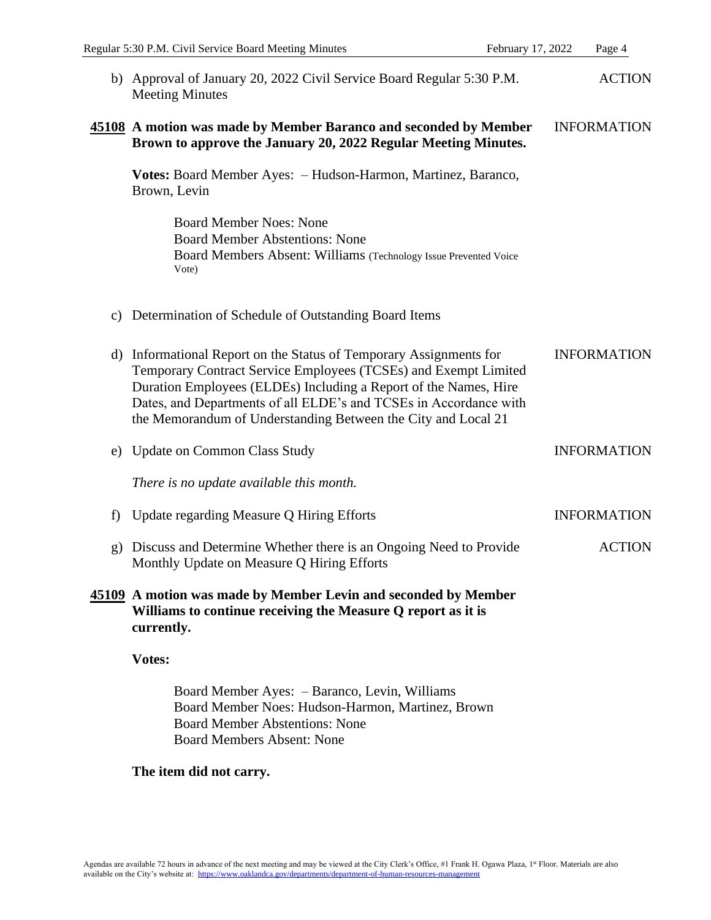|              | b) Approval of January 20, 2022 Civil Service Board Regular 5:30 P.M.<br><b>Meeting Minutes</b>                                                                                                                                                                                                                                                 | <b>ACTION</b>      |
|--------------|-------------------------------------------------------------------------------------------------------------------------------------------------------------------------------------------------------------------------------------------------------------------------------------------------------------------------------------------------|--------------------|
|              | 45108 A motion was made by Member Baranco and seconded by Member<br>Brown to approve the January 20, 2022 Regular Meeting Minutes.                                                                                                                                                                                                              | <b>INFORMATION</b> |
|              | Votes: Board Member Ayes: - Hudson-Harmon, Martinez, Baranco,<br>Brown, Levin                                                                                                                                                                                                                                                                   |                    |
|              | <b>Board Member Noes: None</b><br><b>Board Member Abstentions: None</b><br>Board Members Absent: Williams (Technology Issue Prevented Voice<br>Vote)                                                                                                                                                                                            |                    |
| C)           | Determination of Schedule of Outstanding Board Items                                                                                                                                                                                                                                                                                            |                    |
|              | d) Informational Report on the Status of Temporary Assignments for<br>Temporary Contract Service Employees (TCSEs) and Exempt Limited<br>Duration Employees (ELDEs) Including a Report of the Names, Hire<br>Dates, and Departments of all ELDE's and TCSEs in Accordance with<br>the Memorandum of Understanding Between the City and Local 21 | <b>INFORMATION</b> |
| e)           | <b>Update on Common Class Study</b>                                                                                                                                                                                                                                                                                                             | <b>INFORMATION</b> |
|              | There is no update available this month.                                                                                                                                                                                                                                                                                                        |                    |
| f)           | Update regarding Measure Q Hiring Efforts                                                                                                                                                                                                                                                                                                       | <b>INFORMATION</b> |
| $\mathbf{g}$ | Discuss and Determine Whether there is an Ongoing Need to Provide<br>Monthly Update on Measure Q Hiring Efforts                                                                                                                                                                                                                                 | <b>ACTION</b>      |
|              | 45109 A motion was made by Member Levin and seconded by Member<br>Williams to continue receiving the Measure Q report as it is<br>currently.                                                                                                                                                                                                    |                    |
|              | Votes:                                                                                                                                                                                                                                                                                                                                          |                    |
|              | Board Member Ayes: - Baranco, Levin, Williams<br>Board Member Noes: Hudson-Harmon, Martinez, Brown<br><b>Board Member Abstentions: None</b><br><b>Board Members Absent: None</b>                                                                                                                                                                |                    |

# **The item did not carry.**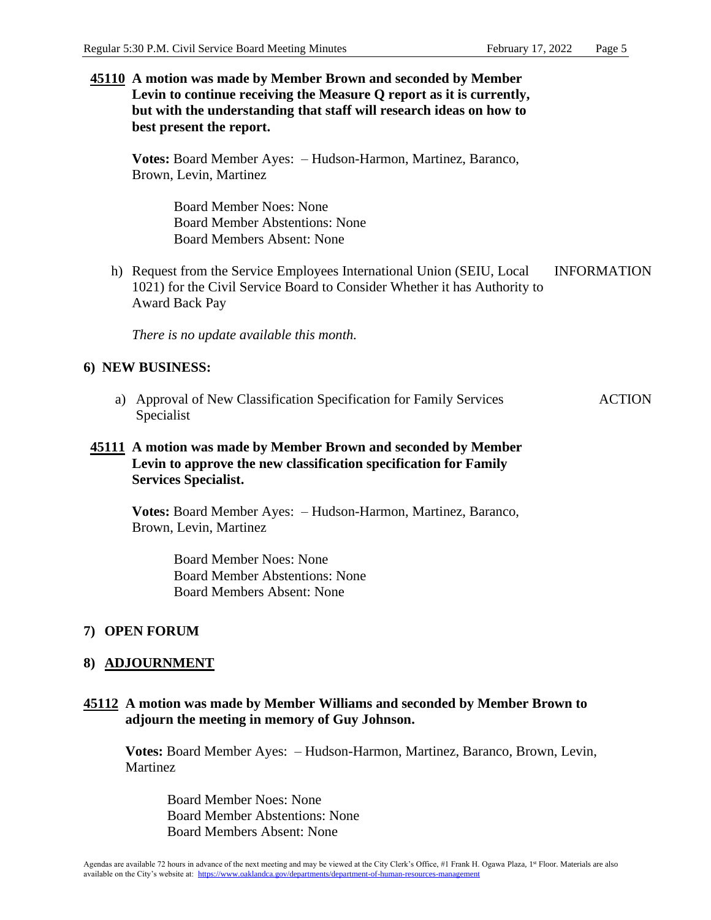**45110 A motion was made by Member Brown and seconded by Member Levin to continue receiving the Measure Q report as it is currently, but with the understanding that staff will research ideas on how to best present the report.**

**Votes:** Board Member Ayes: – Hudson-Harmon, Martinez, Baranco, Brown, Levin, Martinez

> Board Member Noes: None Board Member Abstentions: None Board Members Absent: None

h) Request from the Service Employees International Union (SEIU, Local 1021) for the Civil Service Board to Consider Whether it has Authority to Award Back Pay INFORMATION

*There is no update available this month.*

## **6) NEW BUSINESS:**

a) Approval of New Classification Specification for Family Services Specialist ACTION

# **45111 A motion was made by Member Brown and seconded by Member Levin to approve the new classification specification for Family Services Specialist.**

**Votes:** Board Member Ayes: – Hudson-Harmon, Martinez, Baranco, Brown, Levin, Martinez

> Board Member Noes: None Board Member Abstentions: None Board Members Absent: None

## **7) OPEN FORUM**

## **8) ADJOURNMENT**

# **45112 A motion was made by Member Williams and seconded by Member Brown to adjourn the meeting in memory of Guy Johnson.**

**Votes:** Board Member Ayes: – Hudson-Harmon, Martinez, Baranco, Brown, Levin, **Martinez** 

Board Member Noes: None Board Member Abstentions: None Board Members Absent: None